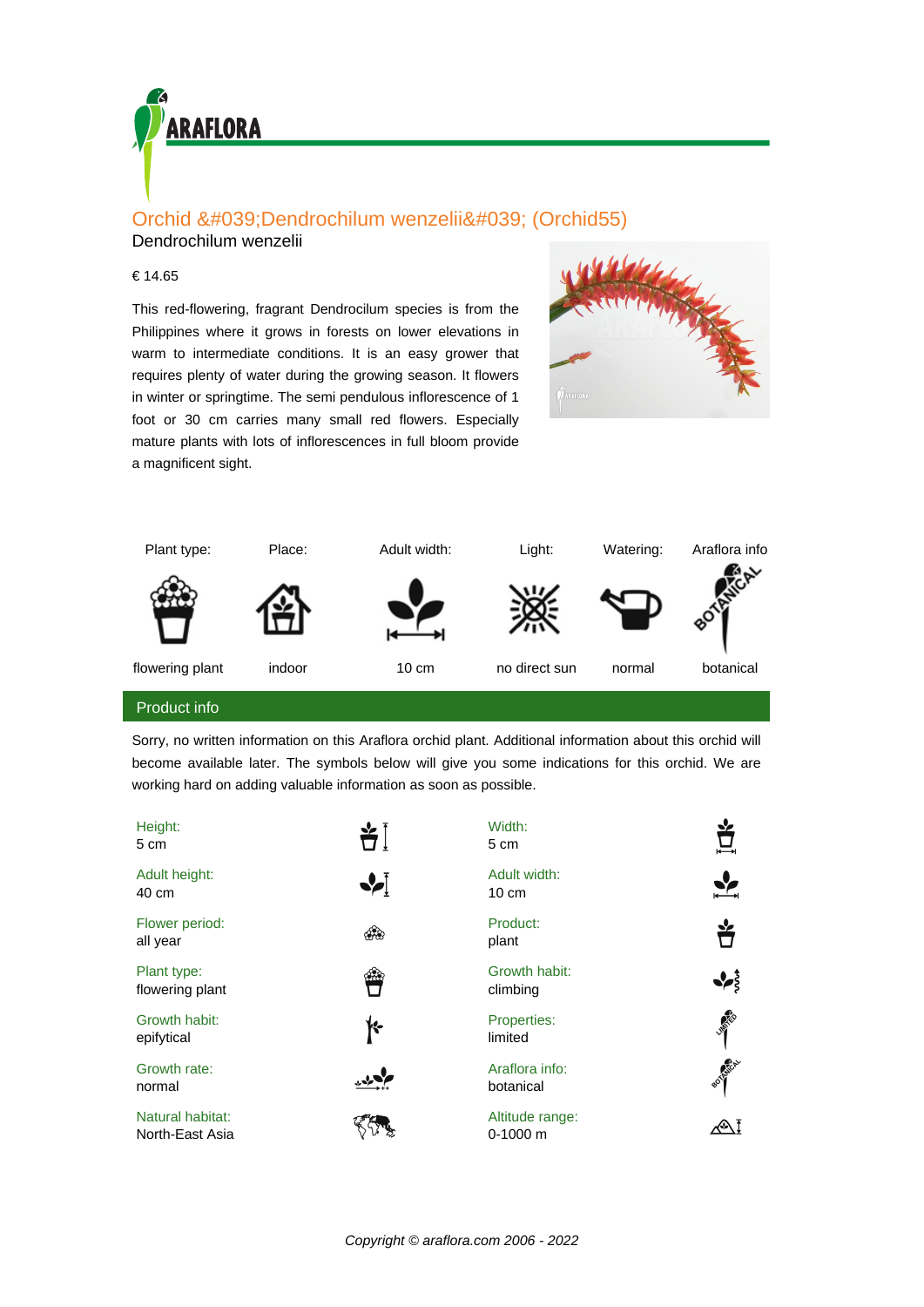

## Orchid 'Dendrochilum wenzelii' (Orchid55)

Dendrochilum wenzelii

## € 14.65

This red-flowering, fragrant Dendrocilum species is from the Philippines where it grows in forests on lower elevations in warm to intermediate conditions. It is an easy grower that requires plenty of water during the growing season. It flowers in winter or springtime. The semi pendulous inflorescence of 1 foot or 30 cm carries many small red flowers. Especially mature plants with lots of inflorescences in full bloom provide a magnificent sight.





Sorry, no written information on this Araflora orchid plant. Additional information about this orchid will become available later. The symbols below will give you some indications for this orchid. We are working hard on adding valuable information as soon as possible.

| Height:<br>5 cm                     | 当│       | Width:<br>5 cm                  |                   |
|-------------------------------------|----------|---------------------------------|-------------------|
| Adult height:<br>40 cm              | ❖        | Adult width:<br>$10 \text{ cm}$ |                   |
| Flower period:<br>all year          | ශීම      | Product:<br>plant               | ₩                 |
| Plant type:<br>flowering plant      | $\alpha$ | Growth habit:<br>climbing       |                   |
| Growth habit:<br>epifytical         | ₭        | Properties:<br>limited          | <b>ANTICORNER</b> |
| Growth rate:<br>normal              |          | Araflora info:<br>botanical     | BOTHLICAL         |
| Natural habitat:<br>North-East Asia |          | Altitude range:<br>$0-1000$ m   |                   |